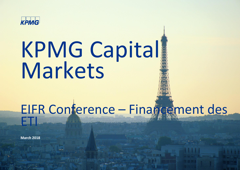

# KPMG Capital Markets

## EIFR Conference – Financement des ETI

**March 2018**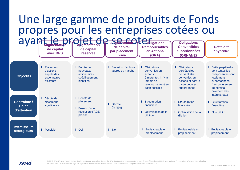

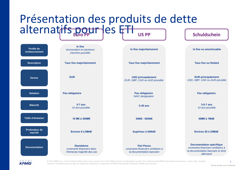#### Présentation des produits de dette alternatifs pour es FTI US PP C Schuldschein **Profile de remboursement Description Devise Notation Maturité Taille d'émission Profondeur de marché Documentation In fine** *structuration en plusieurs tranches possible* **In fine majoritairement In fine ou amortissable Taux fixe majoritairement Taux fixe majoritairement Taux fixe ou flottant EUR USD principalement** *EUR, GBP, CAD ou AUD possible* **EUR principalement** *USD, GBP, CAD ou AUD possible* **Pas obligatoire Pas obligatoire** *NAIC designation* **Pas obligatoire 5-7 ans** *10 ans possible* **5-30 ans 3-5-7 ans** *10 ans possible* **10 M€ à 300M€ 50M\$ - 500M\$ 50M€ à 1Md€ Environ 6 à 8Md€ Supérieur à 50Md\$ Environ 20 à 25Md€ Standalone** *covenants financiers dans l'immense majorité des cas* **Pari Passu** *covenants financiers similaires à la documentation bancaire* **Documentation spécifique** *covenants financiers similaires à la documentation bancaire et droit allemand*



© 2017 KPMG S.A., a French limited liability entity and a member firm of the KPMG network of independent member firms affiliated with KPMG International Cooperative, a Swiss entity. All rights 3 reserved. The KPMG name and logo are registered trademarks or trademarks of KPMG International Cooperative (KPMG International).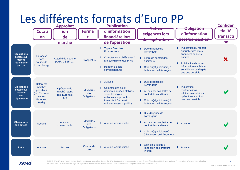

КРМА

© 2017 KPMG S.A., a French limited liability entity and a member firm of the KPMG network of independent member firms affiliated with KPMG International Cooperative, a Swiss entity. All rights 4 reserved. The KPMG name and logo are registered trademarks or trademarks of KPMG International Cooperative (KPMG International).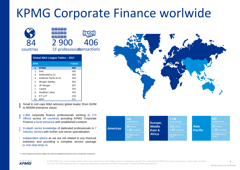## KPMG Corporate Finance worlwide



Small & mid caps M&A advisory global leader (from \$10M to \$500M enterprise value)

2,900 corporate finance professionals working in 174 offices across 84 countries providing KPMG Corporate Finance a local presence with established contacts

In-depth sector knowledge of dedicated professionals in 7 industry sectors with further sub-sector specialisation

Independent advice as we are not related to any financial institution and providing a complete service package (« one-stop-shop »)

| <b>Americas</b> | 533<br>professionals            |  | Europe,<br><b>Middle</b><br>East &<br><b>Africa</b> | 1 7 3 6<br>professionals         |  |                               | 627<br>professionals             |
|-----------------|---------------------------------|--|-----------------------------------------------------|----------------------------------|--|-------------------------------|----------------------------------|
|                 | 40 offices<br>In 10 countries   |  |                                                     | 113 offices<br>In 64 countries   |  | <b>Asia</b><br><b>Pacific</b> | 21 offices<br>In 10 countries    |
|                 | 87 M&A deals in<br>$2016^{(1)}$ |  |                                                     | 312 M&A deals in<br>$2016^{(1)}$ |  |                               | 119 M&A deals in<br>$2016^{(1)}$ |

 $<sup>(1)</sup>$ : total of regional transactions higher than total of worldwide transactions due to crossborder transactions</sup>

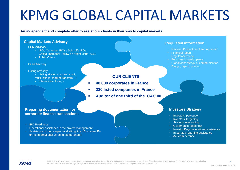# KPMG GLOBAL CAPITAL MARKETS

**An independent and complete offer to assist our clients in their way to capital markets**

#### **Capital Markets Advisory**

- ECM Advisory
	- IPO / Carve-out IPOs / Spin-offs IPOs
	- Capital Increase: Follow-on / right issue, ABB
	- Public Offers
- DCM Advisory
- Listing advisory
	- Listing strategy (squeeze out,
	- multi-listings, market transfers…)
	- International listings

#### **OUR CLIENTS**

- **48 000 corporates in France**
- **220 listed companies in France**
- **Auditor of one third of the CAC 40**

#### **Preparing documentation for corporate finance transactions**

- IPO Readiness
- Operational assistance in the project management
- Assistance in the prospectus drafting, the «Document E» or the International Offering Memorandum

#### **Regulated information**

- Review / Production / Lean Approach
- Financial report
- **Regulatory review**
- Benchmarking with peers
- Global consistency of communication
- Design, layout, printing

#### **Investors Strategy**

- Investors' perception
- Investors' targetting
- Strategic messaging
- Governance roadshow
- Investor Days' operational assistance
- Integrated reporting assistance
- Activism defense

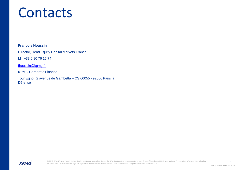# **Contacts**

#### **François Houssin**

Director, Head Equity Capital Markets France

M +33 6 80 76 16 74

[fhoussin@kpmg.fr](mailto:fhoussin@kpmg.fr)

KPMG Corporate Finance

Tour Eqho | 2 avenue de Gambetta – CS 60055 - 92066 Paris la Défense